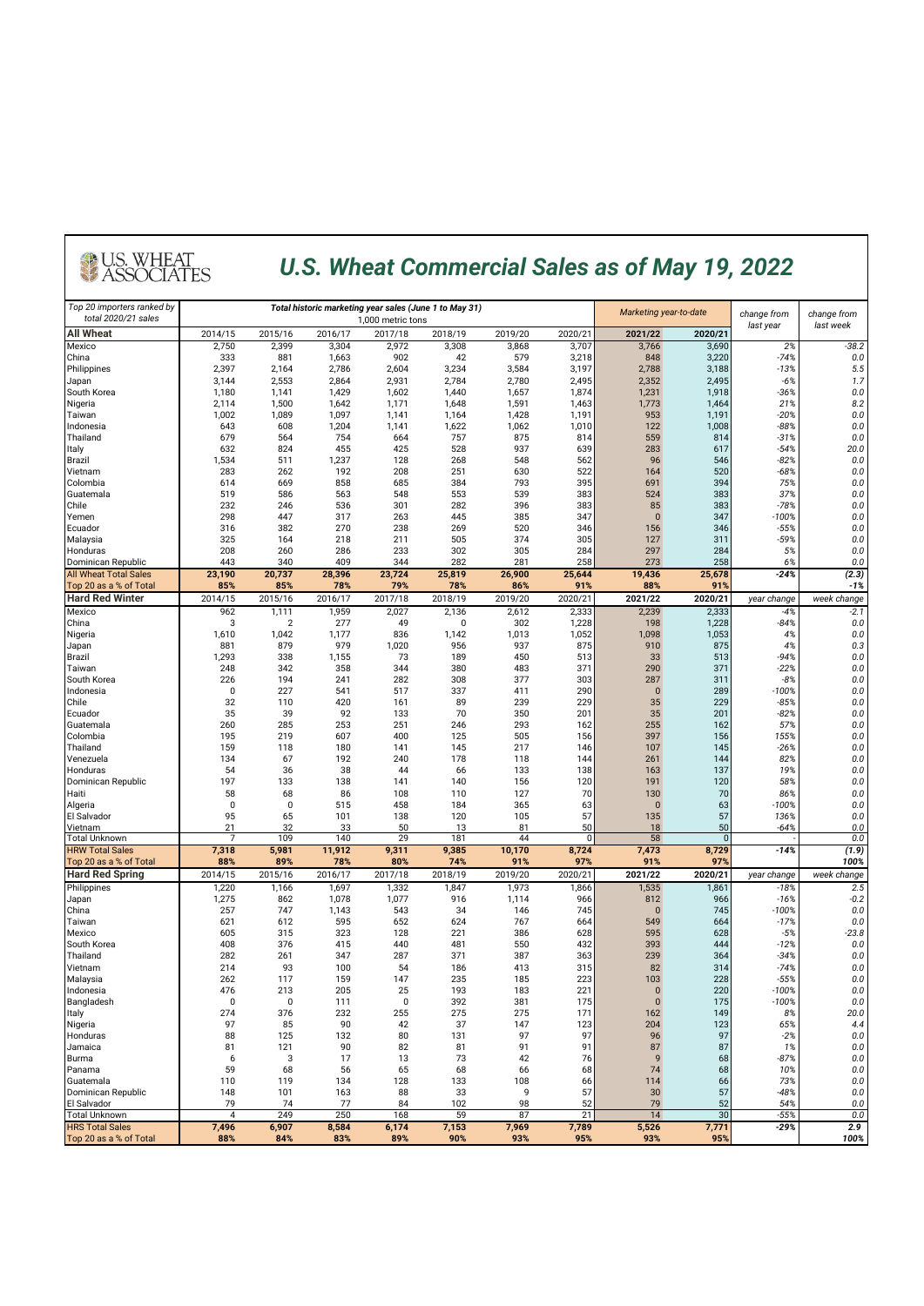#### *U.S. Wheat Commercial Sales as of May 19, 2022*

| Top 20 importers ranked by<br>total 2020/21 sales |                |                |                | Total historic marketing year sales (June 1 to May 31)<br>1,000 metric tons |                | Marketing year-to-date |                | change from     | change from    |                   |               |  |
|---------------------------------------------------|----------------|----------------|----------------|-----------------------------------------------------------------------------|----------------|------------------------|----------------|-----------------|----------------|-------------------|---------------|--|
| <b>All Wheat</b>                                  | 2014/15        | 2015/16        | 2016/17        | 2017/18                                                                     | 2018/19        | 2019/20                | 2020/21        | 2021/22         | 2020/21        | last year         | last week     |  |
| Mexico                                            | 2,750          | 2,399          | 3,304          | 2,972                                                                       | 3,308          | 3,868                  | 3,707          | 3,766           | 3,690          | 2%                | $-38.2$       |  |
| China                                             | 333            | 881            | 1,663          | 902                                                                         | 42             | 579                    | 3,218          | 848             | 3,220          | $-74%$            | 0.0           |  |
| Philippines<br>Japan                              | 2,397<br>3,144 | 2,164<br>2,553 | 2,786<br>2,864 | 2,604<br>2,931                                                              | 3,234<br>2,784 | 3,584<br>2,780         | 3,197<br>2,495 | 2,788<br>2,352  | 3,188<br>2,495 | $-13%$<br>$-6%$   | 5.5<br>1.7    |  |
| South Korea                                       | 1,180          | 1,141          | 1,429          | 1,602                                                                       | 1,440          | 1,657                  | 1,874          | 1,231           | 1,918          | $-36%$            | $0.0\,$       |  |
| Nigeria                                           | 2,114          | 1,500          | 1,642          | 1,171                                                                       | 1,648          | 1,591                  | 1,463          | 1,773           | 1,464          | 21%               | 8.2           |  |
| Taiwan                                            | 1,002          | 1,089          | 1,097          | 1,141                                                                       | 1,164          | 1,428                  | 1,191          | 953             | 1,191          | $-20%$            | 0.0           |  |
| Indonesia<br>Thailand                             | 643<br>679     | 608<br>564     | 1,204<br>754   | 1,141<br>664                                                                | 1,622<br>757   | 1,062<br>875           | 1,010<br>814   | 122<br>559      | 1,008<br>814   | $-88%$<br>$-31%$  | 0.0<br>0.0    |  |
| Italy                                             | 632            | 824            | 455            | 425                                                                         | 528            | 937                    | 639            | 283             | 617            | $-54%$            | 20.0          |  |
| <b>Brazil</b>                                     | 1,534          | 511            | 1,237          | 128                                                                         | 268            | 548                    | 562            | 96              | 546            | $-82%$            | 0.0           |  |
| Vietnam                                           | 283            | 262            | 192            | 208                                                                         | 251            | 630                    | 522            | 164             | 520            | $-68%$            | 0.0           |  |
| Colombia                                          | 614<br>519     | 669<br>586     | 858<br>563     | 685<br>548                                                                  | 384<br>553     | 793<br>539             | 395<br>383     | 691<br>524      | 394<br>383     | 75%<br>37%        | 0.0<br>0.0    |  |
| Guatemala<br>Chile                                | 232            | 246            | 536            | 301                                                                         | 282            | 396                    | 383            | 85              | 383            | $-78%$            | 0.0           |  |
| Yemen                                             | 298            | 447            | 317            | 263                                                                         | 445            | 385                    | 347            | $\mathbf{0}$    | 347            | $-100%$           | 0.0           |  |
| Ecuador                                           | 316            | 382            | 270            | 238                                                                         | 269            | 520                    | 346            | 156             | 346            | -55%              | 0.0           |  |
| Malaysia                                          | 325            | 164            | 218            | 211                                                                         | 505            | 374                    | 305            | 127             | 311            | $-59%$            | 0.0           |  |
| Honduras<br>Dominican Republic                    | 208<br>443     | 260<br>340     | 286<br>409     | 233<br>344                                                                  | 302<br>282     | 305<br>281             | 284<br>258     | 297<br>273      | 284<br>258     | 5%<br>6%          | 0.0<br>0.0    |  |
| <b>All Wheat Total Sales</b>                      | 23,190         | 20,737         | 28,396         | 23,724                                                                      | 25,819         | 26,900                 | 25,644         | 19,436          | 25,678         | $-24%$            | (2.3)         |  |
| Top 20 as a % of Total                            | 85%            | 85%            | 78%            | 79%                                                                         | 78%            | 86%                    | 91%            | 88%             | 91%            |                   | $-1%$         |  |
| <b>Hard Red Winter</b>                            | 2014/15        | 2015/16        | 2016/17        | 2017/18                                                                     | 2018/19        | 2019/20                | 2020/21        | 2021/22         | 2020/21        | year change       | week change   |  |
| Mexico                                            | 962            | 1,111          | 1,959          | 2,027                                                                       | 2,136          | 2,612                  | 2,333          | 2,239           | 2,333          | $-4%$             | $-2.1$        |  |
| China<br>Nigeria                                  | 3<br>1,610     | 2<br>1,042     | 277<br>1,177   | 49<br>836                                                                   | 0<br>1,142     | 302<br>1,013           | 1,228<br>1,052 | 198<br>1,098    | 1,228<br>1,053 | $-84%$<br>4%      | 0.0<br>0.0    |  |
| Japan                                             | 881            | 879            | 979            | 1,020                                                                       | 956            | 937                    | 875            | 910             | 875            | 4%                | 0.3           |  |
| Brazil                                            | 1,293          | 338            | 1,155          | 73                                                                          | 189            | 450                    | 513            | 33              | 513            | $-94%$            | 0.0           |  |
| Taiwan                                            | 248            | 342            | 358            | 344                                                                         | 380            | 483                    | 371            | 290             | 371            | $-22%$            | 0.0           |  |
| South Korea                                       | 226            | 194            | 241            | 282                                                                         | 308            | 377                    | 303            | 287             | 311            | $-8%$             | 0.0           |  |
| Indonesia<br>Chile                                | 0<br>32        | 227<br>110     | 541<br>420     | 517<br>161                                                                  | 337<br>89      | 411<br>239             | 290<br>229     | $\pmb{0}$<br>35 | 289<br>229     | $-100%$<br>$-85%$ | 0.0<br>0.0    |  |
| Ecuador                                           | 35             | 39             | 92             | 133                                                                         | 70             | 350                    | 201            | 35              | 201            | $-82%$            | 0.0           |  |
| Guatemala                                         | 260            | 285            | 253            | 251                                                                         | 246            | 293                    | 162            | 255             | 162            | 57%               | 0.0           |  |
| Colombia                                          | 195            | 219            | 607            | 400                                                                         | 125            | 505                    | 156            | 397             | 156            | 155%              | 0.0           |  |
| Thailand<br>Venezuela                             | 159<br>134     | 118<br>67      | 180<br>192     | 141<br>240                                                                  | 145<br>178     | 217<br>118             | 146<br>144     | 107             | 145<br>144     | $-26%$<br>82%     | 0.0<br>0.0    |  |
| Honduras                                          | 54             | 36             | 38             | 44                                                                          | 66             | 133                    | 138            | 261<br>163      | 137            | 19%               | 0.0           |  |
| Dominican Republic                                | 197            | 133            | 138            | 141                                                                         | 140            | 156                    | 120            | 191             | 120            | 58%               | 0.0           |  |
| Haiti                                             | 58             | 68             | 86             | 108                                                                         | 110            | 127                    | 70             | 130             | 70             | 86%               | 0.0           |  |
| Algeria                                           | 0              | 0              | 515            | 458                                                                         | 184            | 365                    | 63             | $\bf{0}$        | 63             | $-100%$           | 0.0           |  |
| El Salvador<br>Vietnam                            | 95<br>21       | 65<br>32       | 101<br>33      | 138<br>50                                                                   | 120<br>13      | 105<br>81              | 57<br>50       | 135<br>18       | 57<br>50       | 136%<br>$-64%$    | 0.0<br>0.0    |  |
| <b>Total Unknown</b>                              | 7              | 109            | 140            | 29                                                                          | 181            | 44                     | 0              | 58              | $\bf{0}$       |                   | 0.0           |  |
| <b>HRW Total Sales</b>                            | 7,318          | 5,981          | 11,912         | 9,311                                                                       | 9,385          | 10,170                 | 8,724          | 7,473           | 8,729          | $-14%$            | (1.9)         |  |
| Top 20 as a % of Total                            | 88%            | 89%            | 78%            | 80%                                                                         | 74%            | 91%                    | 97%            | 91%             | 97%            |                   | 100%          |  |
| <b>Hard Red Spring</b>                            | 2014/15        | 2015/16        | 2016/17        | 2017/18                                                                     | 2018/19        | 2019/20                | 2020/21        | 2021/22         | 2020/21        | year change       | week change   |  |
| Philippines<br>Japan                              | 1,220<br>1,275 | 1,166<br>862   | 1,697<br>1,078 | 1,332<br>1,077                                                              | 1,847<br>916   | 1,973<br>1,114         | 1,866<br>966   | 1,535<br>812    | 1,861<br>966   | $-18%$<br>$-16%$  | 2.5<br>$-0.2$ |  |
| China                                             | 257            | 747            | 1,143          | 543                                                                         | 34             | 146                    | 745            | $\bf{0}$        | 745            | -100%             | 0.0           |  |
| Taiwan                                            | 621            | 612            | 595            | 652                                                                         | 624            | 767                    | 664            | 549             | 664            | $-17%$            | 0.0           |  |
| Mexico                                            | 605            | 315            | 323            | 128                                                                         | 221            | 386                    | 628            | 595             | 628            | $-5%$             | $-23.8$       |  |
| South Korea<br>Thailand                           | 408<br>282     | 376<br>261     | 415<br>347     | 440<br>287                                                                  | 481<br>371     | 550<br>387             | 432<br>363     | 393<br>239      | 444<br>364     | $-12%$<br>$-34%$  | 0.0<br>0.0    |  |
| Vietnam                                           | 214            | 93             | 100            | 54                                                                          | 186            | 413                    | 315            | 82              | 314            | $-74%$            | 0.0           |  |
| Malaysia                                          | 262            | 117            | 159            | 147                                                                         | 235            | 185                    | 223            | 103             | 228            | $-55%$            | 0.0           |  |
| Indonesia                                         | 476            | 213            | 205            | 25                                                                          | 193            | 183                    | 221            | $\Omega$        | 220            | $-100%$           | 0.0           |  |
| Bangladesh                                        | 0              | 0              | 111            | $\pmb{0}$                                                                   | 392            | 381                    | 175            | $\pmb{0}$       | 175            | $-100%$           | $0.0\,$       |  |
| Italy<br>Nigeria                                  | 274<br>97      | 376<br>85      | 232<br>90      | 255<br>42                                                                   | 275<br>37      | 275<br>147             | 171<br>123     | 162<br>204      | 149<br>123     | 8%<br>65%         | 20.0<br>4.4   |  |
| Honduras                                          | 88             | 125            | 132            | 80                                                                          | 131            | 97                     | 97             | 96              | 97             | $-2%$             | 0.0           |  |
| Jamaica                                           | 81             | 121            | 90             | 82                                                                          | 81             | 91                     | 91             | 87              | 87             | 1%                | $0.0\,$       |  |
| Burma                                             | 6              | 3              | 17             | 13                                                                          | 73             | 42                     | 76             | 9               | 68             | $-87%$            | $0.0\,$       |  |
| Panama                                            | 59             | 68             | 56             | 65                                                                          | 68             | 66                     | 68             | 74              | 68             | 10%               | 0.0           |  |
| Guatemala<br>Dominican Republic                   | 110<br>148     | 119<br>101     | 134<br>163     | 128<br>88                                                                   | 133<br>33      | 108<br>9               | 66<br>57       | 114<br>30       | 66<br>57       | 73%<br>$-48%$     | 0.0<br>0.0    |  |
| El Salvador                                       | 79             | 74             | 77             | 84                                                                          | 102            | 98                     | 52             | 79              | 52             | 54%               | 0.0           |  |
| <b>Total Unknown</b>                              | 4              | 249            | 250            | 168                                                                         | 59             | 87                     | 21             | 14              | 30             | $-55%$            | 0.0           |  |
| <b>HRS Total Sales</b>                            | 7,496          | 6,907          | 8,584          | 6,174                                                                       | 7,153          | 7,969                  | 7,789          | 5,526           | 7,771          | $-29%$            | 2.9           |  |
| Top 20 as a % of Total                            | 88%            | 84%            | 83%            | 89%                                                                         | 90%            | 93%                    | 95%            | 93%             | 95%            |                   | 100%          |  |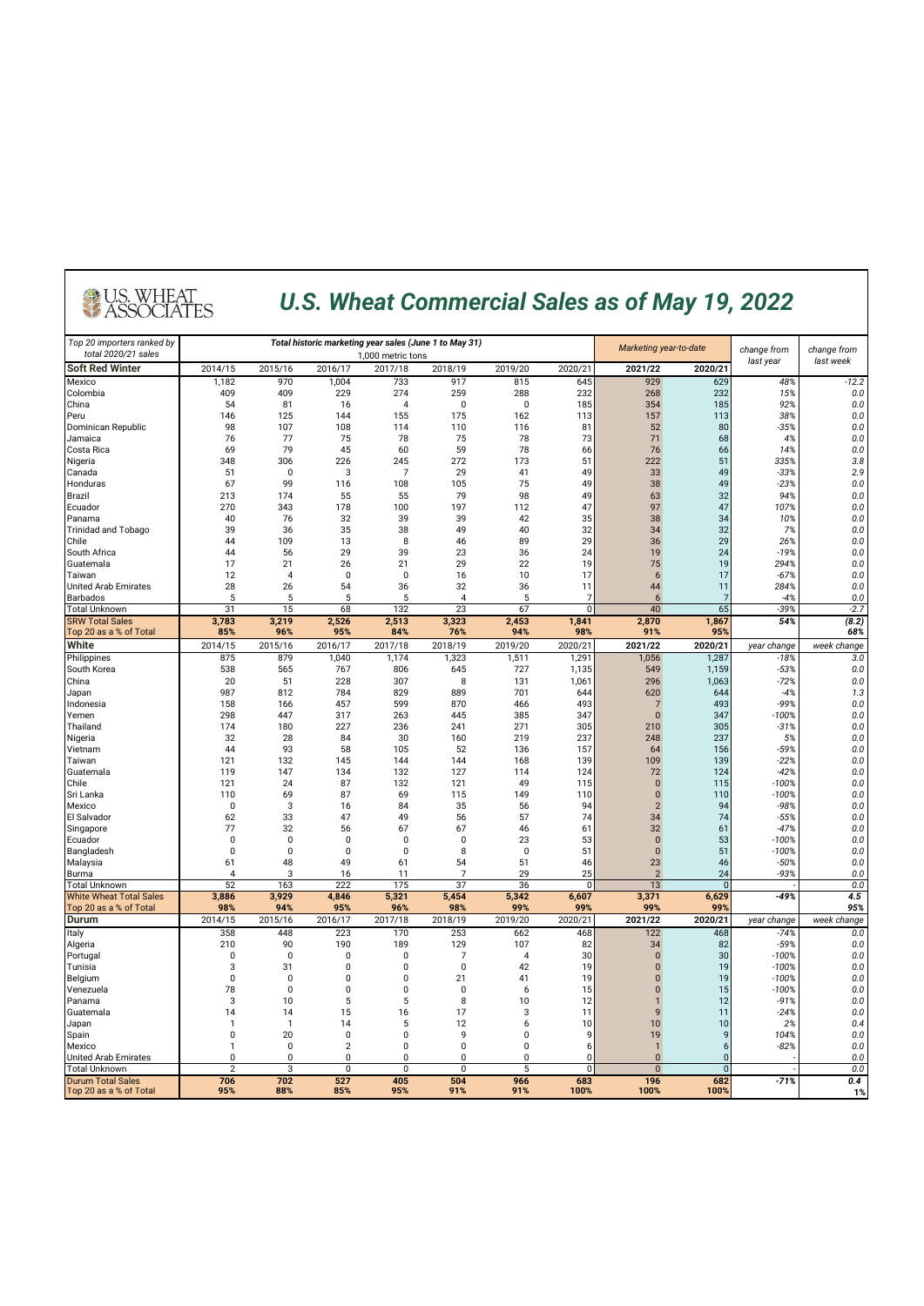### *U.S. Wheat Commercial Sales as of May 19, 2022*

| Top 20 importers ranked by     |                    |                    |                | Total historic marketing year sales (June 1 to May 31) | Marketing year-to-date |                | change from  | change from                  |                |                   |                |
|--------------------------------|--------------------|--------------------|----------------|--------------------------------------------------------|------------------------|----------------|--------------|------------------------------|----------------|-------------------|----------------|
| total 2020/21 sales            |                    |                    |                | 1,000 metric tons                                      |                        |                |              |                              |                |                   | last week      |
| <b>Soft Red Winter</b>         | 2014/15            | 2015/16            | 2016/17        | 2017/18                                                | 2018/19                | 2019/20        | 2020/21      | 2021/22                      | 2020/21        | last year         |                |
| Mexico                         | 1,182              | 970                | 1,004          | 733                                                    | 917                    | 815            | 645          | 929                          | 629            | 48%               | $-12.2$        |
| Colombia<br>China              | 409<br>54          | 409<br>81          | 229<br>16      | 274<br>$\overline{4}$                                  | 259<br>$\mathbf 0$     | 288<br>0       | 232<br>185   | 268<br>354                   | 232<br>185     | 15%<br>92%        | 0.0<br>$0.0\,$ |
| Peru                           | 146                | 125                | 144            | 155                                                    | 175                    | 162            | 113          | 157                          | 113            | 38%               | 0.0            |
| Dominican Republic             | 98                 | 107                | 108            | 114                                                    | 110                    | 116            | 81           | 52                           | 80             | $-35%$            | 0.0            |
| Jamaica                        | 76                 | 77                 | 75             | 78                                                     | 75                     | 78             | 73           | 71                           | 68             | 4%                | 0.0            |
| Costa Rica                     | 69                 | 79                 | 45             | 60                                                     | 59                     | 78             | 66           | 76                           | 66             | 14%               | 0.0            |
| Nigeria                        | 348                | 306                | 226            | 245                                                    | 272                    | 173            | 51           | 222                          | 51             | 335%              | 3.8            |
| Canada                         | 51                 | $\mathbf 0$        | 3              | $\overline{7}$                                         | 29                     | 41             | 49           | 33                           | 49             | $-33%$            | 2.9            |
| Honduras                       | 67                 | 99                 | 116            | 108                                                    | 105                    | 75             | 49           | 38                           | 49             | $-23%$            | 0.0            |
| <b>Brazil</b>                  | 213                | 174                | 55             | 55                                                     | 79                     | 98             | 49           | 63                           | 32             | 94%               | 0.0            |
| Ecuador                        | 270                | 343                | 178            | 100                                                    | 197                    | 112            | 47           | 97                           | 47             | 107%              | 0.0            |
| Panama                         | 40                 | 76                 | 32             | 39                                                     | 39                     | 42             | 35           | 38                           | 34             | 10%               | 0.0            |
| <b>Trinidad and Tobago</b>     | 39                 | 36                 | 35             | 38                                                     | 49                     | 40<br>89       | 32           | 34<br>36                     | 32<br>29       | 7%                | 0.0            |
| Chile<br>South Africa          | 44<br>44           | 109<br>56          | 13<br>29       | 8<br>39                                                | 46<br>23               | 36             | 29<br>24     | 19                           | 24             | 26%<br>$-19%$     | 0.0<br>0.0     |
| Guatemala                      | 17                 | 21                 | 26             | 21                                                     | 29                     | 22             | 19           | 75                           | 19             | 294%              | 0.0            |
| Taiwan                         | 12                 | $\overline{4}$     | 0              | $\mathbf 0$                                            | 16                     | 10             | 17           | 6                            | 17             | $-67%$            | 0.0            |
| <b>United Arab Emirates</b>    | 28                 | 26                 | 54             | 36                                                     | 32                     | 36             | 11           | 44                           | 11             | 284%              | 0.0            |
| <b>Barbados</b>                | 5                  | 5                  | 5              | 5                                                      | $\overline{4}$         | 5              | 7            | 6                            | 7              | $-4%$             | 0.0            |
| <b>Total Unknown</b>           | 31                 | 15                 | 68             | 132                                                    | 23                     | 67             | $\Omega$     | 40                           | 65             | $-39%$            | $-2.7$         |
| <b>SRW Total Sales</b>         | 3,783              | 3,219              | 2,526          | 2,513                                                  | 3,323                  | 2,453          | 1,841        | 2,870                        | 1,867          | 54%               | (8.2)          |
| Top 20 as a % of Total         | 85%                | 96%                | 95%            | 84%                                                    | 76%                    | 94%            | 98%          | 91%                          | 95%            |                   | 68%            |
| White                          | 2014/15            | 2015/16            | 2016/17        | 2017/18                                                | 2018/19                | 2019/20        | 2020/21      | 2021/22                      | 2020/21        | year change       | week change    |
| Philippines                    | 875                | 879                | 1,040          | 1,174                                                  | 1,323                  | 1,511          | 1,291        | 1,056                        | 1,287          | $-18%$            | 3.0            |
| South Korea                    | 538                | 565                | 767            | 806                                                    | 645                    | 727            | 1,135        | 549                          | 1,159          | $-53%$            | 0.0            |
| China                          | 20                 | 51                 | 228            | 307                                                    | 8                      | 131            | 1,061        | 296                          | 1,063          | $-72%$            | 0.0            |
| Japan                          | 987                | 812                | 784            | 829                                                    | 889                    | 701            | 644          | 620                          | 644            | $-4%$             | 1.3            |
| Indonesia                      | 158                | 166                | 457            | 599                                                    | 870                    | 466            | 493          | $\overline{7}$               | 493            | $-99%$            | 0.0            |
| Yemen<br>Thailand              | 298<br>174         | 447<br>180         | 317<br>227     | 263<br>236                                             | 445<br>241             | 385<br>271     | 347<br>305   | $\mathbf{0}$<br>210          | 347<br>305     | $-100%$<br>$-31%$ | 0.0<br>0.0     |
| Nigeria                        | 32                 | 28                 | 84             | 30                                                     | 160                    | 219            | 237          | 248                          | 237            | 5%                | 0.0            |
| Vietnam                        | 44                 | 93                 | 58             | 105                                                    | 52                     | 136            | 157          | 64                           | 156            | -59%              | 0.0            |
| Taiwan                         | 121                | 132                | 145            | 144                                                    | 144                    | 168            | 139          | 109                          | 139            | $-22%$            | 0.0            |
| Guatemala                      | 119                | 147                | 134            | 132                                                    | 127                    | 114            | 124          | 72                           | 124            | $-42%$            | 0.0            |
| Chile                          | 121                | 24                 | 87             | 132                                                    | 121                    | 49             | 115          | $\mathbf{0}$                 | 115            | $-100%$           | 0.0            |
| Sri Lanka                      | 110                | 69                 | 87             | 69                                                     | 115                    | 149            | 110          | $\mathbf 0$                  | 110            | $-100%$           | 0.0            |
| Mexico                         | 0                  | 3                  | 16             | 84                                                     | 35                     | 56             | 94           | $\overline{2}$               | 94             | $-98%$            | 0.0            |
| El Salvador                    | 62                 | 33                 | 47             | 49                                                     | 56                     | 57             | 74           | 34                           | 74             | $-55%$            | 0.0            |
| Singapore                      | 77                 | 32                 | 56             | 67                                                     | 67                     | 46             | 61           | 32                           | 61             | $-47%$            | 0.0            |
| Ecuador                        | 0                  | $\pmb{0}$          | $\mathbf 0$    | $\mathbf 0$                                            | $\mathbf 0$            | 23             | 53           | $\mathbf{0}$                 | 53             | $-100%$           | 0.0            |
| Bangladesh                     | $\pmb{0}$          | 0                  | 0              | 0                                                      | 8                      | $\pmb{0}$      | 51           | $\pmb{0}$                    | 51             | $-100%$           | 0.0            |
| Malaysia<br>Burma              | 61<br>$\Delta$     | 48<br>$\mathbf{z}$ | 49<br>16       | 61<br>11                                               | 54<br>$\overline{7}$   | 51<br>29       | 46<br>25     | 23<br>$\overline{2}$         | 46<br>24       | $-50%$<br>$-93%$  | 0.0<br>0.0     |
| <b>Total Unknown</b>           | 52                 | 163                | 222            | 175                                                    | 37                     | 36             | $\mathbf{0}$ | 13                           | $\mathbf{0}$   |                   | 0.0            |
| <b>White Wheat Total Sales</b> | 3,886              | 3,929              | 4,846          | 5,321                                                  | 5,454                  | 5,342          | 6,607        | 3,371                        | 6,629          | -49%              | 4.5            |
| Top 20 as a % of Total         | 98%                | 94%                | 95%            | 96%                                                    | 98%                    | 99%            | 99%          | 99%                          | 99%            |                   | 95%            |
| Durum                          | 2014/15            | 2015/16            | 2016/17        | 2017/18                                                | 2018/19                | 2019/20        | 2020/21      | 2021/22                      | 2020/21        | year change       | week change    |
| Italy                          | 358                | 448                | 223            | 170                                                    | 253                    | 662            | 468          | 122                          | 468            | $-74%$            | 0.0            |
| Algeria                        | 210                | 90                 | 190            | 189                                                    | 129                    | 107            | 82           | 34                           | 82             | $-59%$            | 0.0            |
| Portugal                       | $\mathbf 0$        | $\mathbf 0$        | $\mathbf 0$    | $\pmb{0}$                                              | $\overline{7}$         | $\overline{A}$ | 30           | $\pmb{0}$                    | 30             | $-100%$           | 0.0            |
| Tunisia                        | 3                  | 31                 | $\pmb{0}$      | 0                                                      | $\mathbf 0$            | 42             | 19           | $\mathbf{0}$                 | 19             | $-100%$           | 0.0            |
| Belgium                        | $\mathbf 0$        | $\pmb{0}$          | $\mathbf{0}$   | 0                                                      | 21                     | 41             | 19           | $\mathbf{0}$                 | 19             | $-100%$           | 0.0            |
| Venezuela                      | 78                 | 0                  | 0              | 0                                                      | 0                      | 6              | 15           | $\bf{0}$                     | 15             | $-100%$           | 0.0            |
| Panama                         | 3                  | 10                 | 5              | 5                                                      | 8                      | 10<br>3        | 12           | $\mathbf{1}$<br>$\mathbf{q}$ | 12             | $-91%$            | 0.0            |
| Guatemala                      | 14<br>$\mathbf{1}$ | 14<br>$\mathbf{1}$ | 15<br>14       | 16<br>5                                                | 17<br>12               | 6              | 11<br>10     | 10                           | 11<br>10       | $-24%$<br>2%      | 0.0<br>0.4     |
| Japan<br>Spain                 | 0                  | 20                 | $\mathbf 0$    | 0                                                      | 9                      | 0              | 9            | 19                           | 9              | 104%              | 0.0            |
| Mexico                         | $\mathbf{1}$       | 0                  | $\overline{2}$ | 0                                                      | $\mathbf 0$            | 0              | 6            | $\mathbf{1}$                 | 6              | $-82%$            | 0.0            |
| <b>Jnited Arab Emirates</b>    | $\mathbf 0$        | $\mathbf 0$        | 0              | 0                                                      | $\mathbf 0$            | 0              | n            | $\mathbf{0}$                 | $\overline{0}$ |                   | 0.0            |
| <b>Total Unknown</b>           | $\overline{2}$     | 3                  | 0              | $\Omega$                                               | $\pmb{0}$              | 5              | 0            | $\mathbf 0$                  | $\Omega$       |                   | 0.0            |
| <b>Durum Total Sales</b>       | 706                | 702                | 527            | 405                                                    | 504                    | 966            | 683          | 196                          | 682            | $-71%$            | 0.4            |
| Top 20 as a % of Total         | 95%                | 88%                | 85%            | 95%                                                    | 91%                    | 91%            | 100%         | 100%                         | 100%           |                   | 1%             |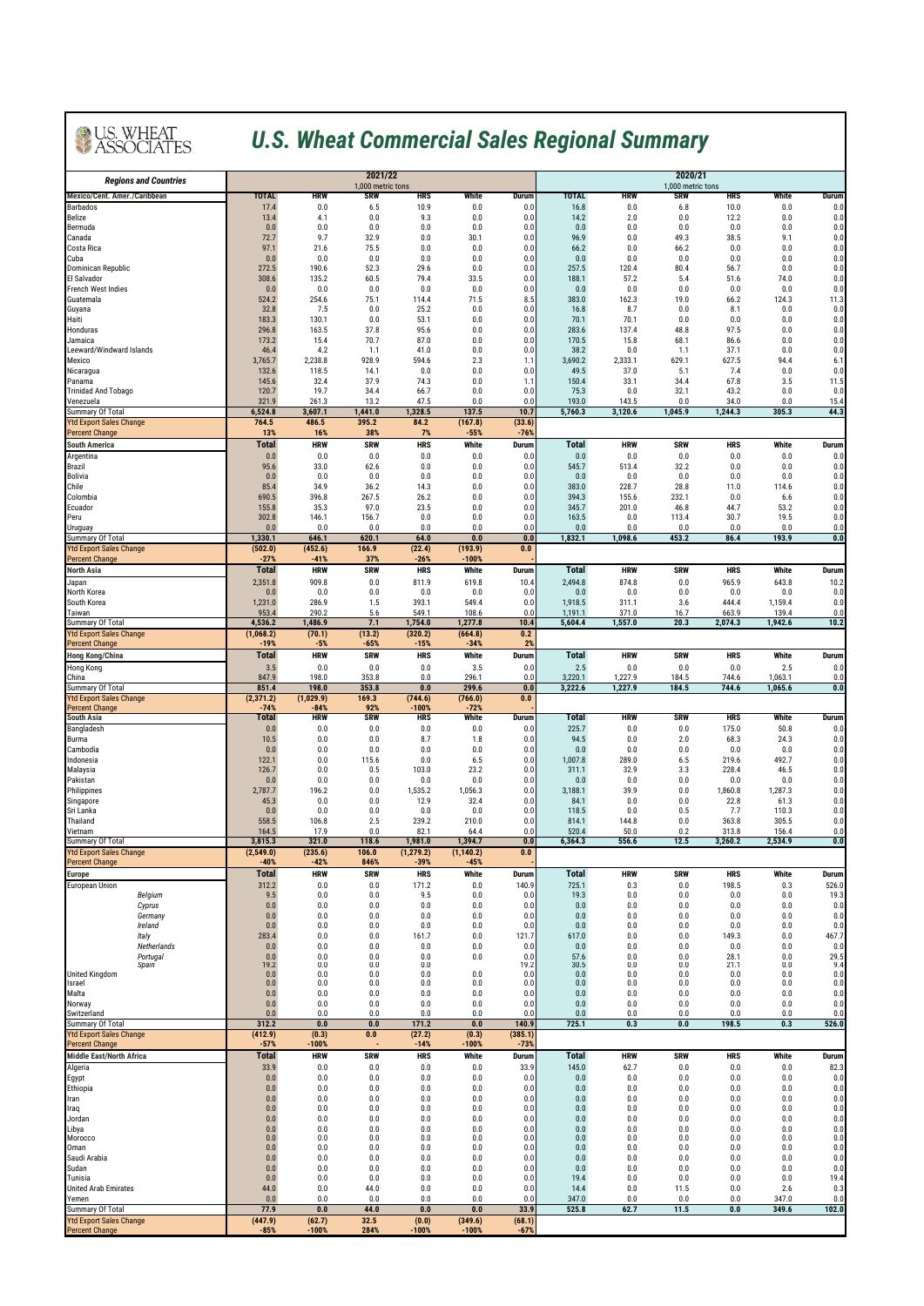### *U.S. Wheat Commercial Sales Regional Summary*

| <b>Regions and Countries</b>                            |                       | 2021/22<br>1,000 metric tons |                   |                       |                       |                   |                     | 2020/21<br>1,000 metric tons |                   |                     |                |               |  |  |
|---------------------------------------------------------|-----------------------|------------------------------|-------------------|-----------------------|-----------------------|-------------------|---------------------|------------------------------|-------------------|---------------------|----------------|---------------|--|--|
| <b>Mexico/Cent. Amer./Caribbean</b>                     | <b>TOTAL</b>          | HRW                          | SRW               | HRS                   | White                 | Durum             | <b>TOTAL</b>        | HRW                          | SRW               | HRS                 | White          | Durum         |  |  |
| <b>Barbados</b><br>Belize                               | 17.4<br>13.4          | 0.0<br>4.1                   | 6.5<br>0.0        | 10.9<br>9.3           | 0.0<br>0.0            | 0.0<br>0.0        | 16.8<br>14.2        | 0.0<br>2.0                   | 6.8<br>0.0        | 10.0<br>12.2        | 0.0<br>0.0     | 0.0<br>0.0    |  |  |
| Bermuda                                                 | 0.0                   | 0.0                          | 0.0               | 0.0                   | 0.0                   | 0.0               | 0.0                 | 0.0                          | 0.0               | 0.0                 | 0.0            | 0.0           |  |  |
| Canada<br>Costa Rica                                    | 72.7<br>97.1          | 9.7<br>21.6                  | 32.9<br>75.5      | 0.0<br>0.0            | 30.1<br>0.0           | 0.0<br>0.0        | 96.9<br>66.2        | 0.0<br>0.0                   | 49.3<br>66.2      | 38.5<br>0.0         | 9.1<br>0.0     | 0.0<br>0.0    |  |  |
| Cuba                                                    | 0.0                   | 0.0                          | 0.0               | 0.0                   | 0.0                   | 0.0               | 0.0                 | 0.0                          | 0.0               | 0.0                 | 0.0            | 0.0           |  |  |
| <b>Dominican Republic</b><br>El Salvador                | 272.5<br>308.6        | 190.6<br>135.2               | 52.3<br>60.5      | 29.6<br>79.4          | 0.0<br>33.5           | 0.0<br>0.0        | 257.5<br>188.1      | 120.4<br>57.2                | 80.4<br>5.4       | 56.7<br>51.6        | 0.0<br>74.0    | 0.0<br>0.0    |  |  |
| <b>French West Indies</b>                               | 0.0                   | 0.0                          | 0.0               | 0.0                   | 0.0                   | 0.0               | 0.0                 | 0.0                          | 0.0               | 0.0                 | 0.0            | 0.0           |  |  |
| Guatemala<br>Guyana                                     | 524.2<br>32.8         | 254.6<br>7.5                 | 75.1<br>0.0       | 114.4<br>25.2         | 71.5<br>0.0           | 8.5<br>0.0        | 383.0<br>16.8       | 162.3<br>8.7                 | 19.0<br>0.0       | 66.2<br>8.1         | 124.3<br>0.0   | 11.3<br>0.0   |  |  |
| Haiti                                                   | 183.3                 | 130.1                        | 0.0               | 53.1                  | 0.0                   | 0.0               | 70.1                | 70.1                         | 0.0               | 0.0                 | 0.0            | 0.0           |  |  |
| Honduras                                                | 296.8                 | 163.5                        | 37.8              | 95.6                  | 0.0                   | 0.0               | 283.6               | 137.4                        | 48.8              | 97.5                | 0.0            | 0.0           |  |  |
| Jamaica<br>Leeward/Windward Islands                     | 173.2<br>46.4         | 15.4<br>4.2                  | 70.7<br>1.1       | 87.0<br>41.0          | 0.0<br>0.0            | 0.0<br>0.0        | 170.5<br>38.2       | 15.8<br>0.0                  | 68.1<br>1.1       | 86.6<br>37.1        | 0.0<br>0.0     | 0.0<br>0.0    |  |  |
| Mexico                                                  | 3,765.7               | 2,238.8                      | 928.9             | 594.6                 | 2.3                   | 1.1               | 3,690.2             | 2,333.1                      | 629.1             | 627.5               | 94.4           | 6.1           |  |  |
| Nicaragua<br>Panama                                     | 132.6<br>145.6        | 118.5<br>32.4                | 14.1<br>37.9      | 0.0<br>74.3           | 0.0<br>0.0            | 0.0<br>1.1        | 49.5<br>150.4       | 37.0<br>33.1                 | 5.1<br>34.4       | 7.4<br>67.8         | 0.0<br>3.5     | 0.0<br>11.5   |  |  |
| <b>Trinidad And Tobago</b>                              | 120.7                 | 19.7                         | 34.4              | 66.7                  | 0.0                   | 0.0               | 75.3                | 0.0                          | 32.1              | 43.2                | 0.0            | 0.0           |  |  |
| Venezuela<br>Summary Of Total                           | 321.9<br>6,524.8      | 261.3<br>3,607.1             | 13.2<br>1,441.0   | 47.5<br>1,328.5       | 0.0<br>137.5          | 0.0<br>10.7       | 193.0<br>5,760.3    | 143.5<br>3,120.6             | 0.0<br>1,045.9    | 34.0<br>1,244.3     | 0.0<br>305.3   | 15.4<br>44.3  |  |  |
| <b>Ytd Export Sales Change</b>                          | 764.5                 | 486.5                        | 395.2             | 84.2                  | (167.8)               | (33.6)            |                     |                              |                   |                     |                |               |  |  |
| <b>Percent Change</b>                                   | 13%                   | 16%                          | 38%               | 7%                    | $-55%$                | $-76%$            |                     |                              |                   |                     |                |               |  |  |
| <b>South America</b><br>Argentina                       | <b>Total</b><br>0.0   | <b>HRW</b><br>0.0            | <b>SRW</b><br>0.0 | <b>HRS</b><br>0.0     | White<br>0.0          | Durum<br>0.0      | <b>Total</b><br>0.0 | <b>HRW</b><br>0.0            | <b>SRW</b><br>0.0 | <b>HRS</b><br>0.0   | White<br>0.0   | Durum<br>0.0  |  |  |
| Brazil                                                  | 95.6                  | 33.0                         | 62.6              | 0.0                   | 0.0                   | 0.0               | 545.7               | 513.4                        | 32.2              | 0.0                 | 0.0            | 0.0           |  |  |
| Bolivia<br>Chile                                        | 0.0<br>85.4           | 0.0<br>34.9                  | 0.0<br>36.2       | 0.0<br>14.3           | 0.0<br>0.0            | 0.0<br>0.0        | 0.0<br>383.0        | 0.0<br>228.7                 | 0.0<br>28.8       | 0.0<br>11.0         | 0.0<br>114.6   | 0.0<br>0.0    |  |  |
| Colombia                                                | 690.5                 | 396.8                        | 267.5             | 26.2                  | 0.0                   | 0.0               | 394.3               | 155.6                        | 232.1             | 0.0                 | 6.6            | 0.0           |  |  |
| Ecuador                                                 | 155.8                 | 35.3                         | 97.0              | 23.5                  | 0.0                   | 0.0               | 345.7               | 201.0                        | 46.8              | 44.7                | 53.2           | 0.0           |  |  |
| Peru<br>Uruguay                                         | 302.8<br>0.0          | 146.1<br>0.0                 | 156.7<br>0.0      | 0.0<br>0.0            | 0.0<br>0.0            | 0.0<br>0.0        | 163.5<br>0.0        | 0.0<br>0.0                   | 113.4<br>0.0      | 30.7<br>0.0         | 19.5<br>0.0    | 0.0<br>0.0    |  |  |
| Summary Of Total                                        | 1,330.1               | 646.1                        | 620.1             | 64.0                  | 0.0                   | 0.0               | 1,832.1             | 1,098.6                      | 453.2             | 86.4                | 193.9          | 0.0           |  |  |
| <b>Ytd Export Sales Change</b><br><b>Percent Change</b> | (502.0)<br>$-27%$     | (452.6)<br>-41%              | 166.9<br>37%      | (22.4)<br>-26%        | (193.9)<br>$-100%$    | 0.0               |                     |                              |                   |                     |                |               |  |  |
| <b>North Asia</b>                                       | <b>Total</b>          | <b>HRW</b>                   | <b>SRW</b>        | <b>HRS</b>            | White                 | Durum             | <b>Total</b>        | <b>HRW</b>                   | <b>SRW</b>        | <b>HRS</b>          | White          | Durum         |  |  |
| Japan                                                   | 2,351.8               | 909.8                        | 0.0               | 811.9                 | 619.8                 | 10.4              | 2,494.8             | 874.8                        | 0.0               | 965.9               | 643.8          | 10.2          |  |  |
| North Korea<br>South Korea                              | 0.0<br>1,231.0        | 0.0<br>286.9                 | 0.0<br>1.5        | 0.0<br>393.1          | 0.0<br>549.4          | 0.0<br>0.0        | 0.0<br>1,918.5      | 0.0<br>311.1                 | 0.0<br>3.6        | 0.0<br>444.4        | 0.0<br>1,159.4 | 0.0<br>0.0    |  |  |
| Taiwan                                                  | 953.4                 | 290.2                        | 5.6               | 549.1                 | 108.6                 | 0.0               | 1,191.1             | 371.0                        | 16.7              | 663.9               | 139.4          | 0.0           |  |  |
| Summary Of Total<br><b>Ytd Export Sales Change</b>      | 4,536.2<br>(1,068.2)  | 1,486.9<br>(70.1)            | 7.1<br>(13.2)     | 1,754.0<br>(320.2)    | 1,277.8<br>(664.8)    | 10.4<br>0.2       | 5,604.4             | 1,557.0                      | 20.3              | 2,074.3             | 1,942.6        | 10.2          |  |  |
| <b>Percent Change</b>                                   | $-19%$                | $-5%$                        | $-65%$            | $-15%$                | $-34%$                | 2%                |                     |                              |                   |                     |                |               |  |  |
| <b>Hong Kong/China</b>                                  | <b>Total</b>          | <b>HRW</b>                   | <b>SRW</b>        | <b>HRS</b>            | White                 | Durum             | Total               | <b>HRW</b>                   | <b>SRW</b>        | <b>HRS</b>          | White          | Durum         |  |  |
| <b>Hong Kong</b><br>China                               | 3.5<br>847.9          | 0.0<br>198.0                 | 0.0<br>353.8      | 0.0<br>0.0            | 3.5<br>296.1          | 0.0<br>0.0        | 2.5<br>3,220.1      | 0.0<br>1,227.9               | 0.0<br>184.5      | 0.0<br>744.6        | 2.5<br>1,063.1 | 0.0<br>0.0    |  |  |
| Summary Of Total                                        | 851.4                 | 198.0                        | 353.8             | 0.0                   | 299.6                 | 0.0               | 3,222.6             | 1,227.9                      | 184.5             | 744.6               | 1,065.6        | 0.0           |  |  |
| <b>Ytd Export Sales Change</b><br><b>Percent Change</b> | (2, 371.2)<br>$-74%$  | (1,029.9)<br>-84%            | 169.3<br>92%      | (744.6)<br>$-100%$    | (766.0)<br>$-72%$     | 0.0               |                     |                              |                   |                     |                |               |  |  |
| <b>South Asia</b>                                       | Total                 | <b>HRW</b>                   | <b>SRW</b>        | <b>HRS</b>            | White                 | <b>Durum</b>      | Total               | <b>HRW</b>                   | <b>SRW</b>        | <b>HRS</b>          | White          | Durum         |  |  |
| Bangladesh                                              | 0.0                   | 0.0                          | 0.0               | 0.0                   | 0.0                   | 0.0               | 225.7               | 0.0                          | 0.0               | 175.0               | 50.8           | 0.0           |  |  |
| Burma<br>Cambodia                                       | 10.5<br>0.0           | 0.0<br>0.0                   | 0.0<br>0.0        | 8.7<br>0.0            | 1.8<br>0.0            | 0.0<br>0.0        | 94.5<br>0.0         | 0.0<br>0.0                   | 2.0<br>0.0        | 68.3<br>0.0         | 24.3<br>0.0    | 0.0<br>0.0    |  |  |
| Indonesia                                               | 122.1                 | 0.0                          | 115.6             | 0.0                   | 6.5                   | 0.0               | 1,007.8             | 289.0                        | 6.5               | 219.6               | 492.7          | 0.0           |  |  |
| Malaysia<br>Pakistan                                    | 126.7<br>0.0          | 0.0<br>0.0                   | 0.5<br>0.0        | 103.0<br>0.0          | 23.2<br>0.0           | 0.0<br>0.0        | 311.1<br>0.0        | 32.9<br>0.0                  | 3.3<br>0.0        | 228.4<br>0.0        | 46.5<br>0.0    | 0.0<br>0.0    |  |  |
| Philippines                                             | 2,787.7               | 196.2                        | 0.0               | 1,535.2               | 1,056.3               | 0.0               | 3,188.1             | 39.9                         | 0.0               | 1,860.8             | 1,287.3        | 0.0           |  |  |
| Singapore<br>Sri Lanka                                  | 45.3<br>0.0           | 0.0<br>0.0                   | 0.0<br>0.0        | 12.9<br>0.0           | 32.4<br>0.0           | 0.0<br>0.0        | 84.1<br>118.5       | 0.0<br>0.0                   | 0.0<br>0.5        | 22.8<br>7.7         | 61.3<br>110.3  | 0.0<br>0.0    |  |  |
| Thailand                                                | 558.5                 | 106.8                        | 2.5               | 239.2                 | 210.0                 | 0.0               | 814.1               | 144.8                        | 0.0               | 363.8               | 305.5          | 0.0           |  |  |
| Vietnam                                                 | 164.5                 | 17.9                         | 0.0               | 82.1                  | 64.4                  | 0.0               | 520.4               | 50.0                         | 0.2               | 313.8               | 156.4          | 0.0           |  |  |
| Summary Of Total<br><b>Ytd Export Sales Change</b>      | 3,815.3<br>(2,549.0)  | 321.0<br>(235.6)             | 118.6<br>106.0    | 1,981.0<br>(1, 279.2) | 1,394.7<br>(1, 140.2) | 0.0<br>0.0        | 6,364.3             | 556.6                        | 12.5              | 3,260.2             | 2,534.9        | 0.0           |  |  |
| <b>Percent Change</b>                                   | $-40%$                | $-42%$                       | 846%              | $-39%$                | $-45%$                |                   |                     |                              |                   |                     |                |               |  |  |
| <b>Europe</b><br><b>European Union</b>                  | <b>Total</b><br>312.2 | <b>HRW</b><br>0.0            | <b>SRW</b><br>0.0 | <b>HRS</b><br>171.2   | White<br>0.0          | Durum<br>140.9    | Total<br>725.1      | <b>HRW</b><br>0.3            | <b>SRW</b><br>0.0 | <b>HRS</b><br>198.5 | White<br>0.3   | Durum         |  |  |
| Belgium                                                 | 9.5                   | 0.0                          | 0.0               | 9.5                   | 0.0                   | 0.0               | 19.3                | 0.0                          | 0.0               | 0.0                 | 0.0            | 526.0<br>19.3 |  |  |
| Cyprus                                                  | 0.0                   | 0.0                          | 0.0               | 0.0                   | 0.0                   | 0.0               | 0.0                 | 0.0                          | 0.0               | 0.0                 | 0.0            | 0.0           |  |  |
| Germany<br>Ireland                                      | 0.0<br>0.0            | 0.0<br>0.0                   | 0.0<br>0.0        | 0.0<br>0.0            | 0.0<br>0.0            | 0.0<br>0.0        | 0.0<br>0.0          | 0.0<br>0.0                   | 0.0<br>0.0        | 0.0<br>0.0          | 0.0<br>0.0     | 0.0<br>0.0    |  |  |
| Italy                                                   | 283.4                 | 0.0                          | 0.0               | 161.7                 | 0.0                   | 121.7             | 617.0               | 0.0                          | 0.0               | 149.3               | 0.0            | 467.7         |  |  |
| Netherlands<br>Portugal                                 | $0.0\,$<br>0.0        | 0.0<br>0.0                   | $0.0\,$<br>0.0    | 0.0<br>0.0            | 0.0<br>0.0            | 0.0<br>0.0        | 0.0<br>57.6         | 0.0<br>0.0                   | 0.0<br>0.0        | 0.0<br>28.1         | 0.0<br>0.0     | 0.0<br>29.5   |  |  |
| Spain<br><b>United Kingdom</b>                          | 19.2<br>0.0           | 0.0<br>0.0                   | 0.0<br>0.0        | 0.0<br>0.0            | 0.0                   | 19.2<br>0.0       | 30.5<br>0.0         | 0.0<br>0.0                   | 0.0<br>0.0        | 21.1<br>0.0         | 0.0<br>0.0     | 9.4<br>0.0    |  |  |
| Israel                                                  | 0.0                   | 0.0                          | 0.0               | 0.0                   | 0.0                   | 0.0               | 0.0                 | 0.0                          | 0.0               | 0.0                 | 0.0            | 0.0           |  |  |
| Malta                                                   | 0.0                   | 0.0                          | 0.0               | 0.0                   | 0.0                   | 0.0               | 0.0                 | 0.0                          | 0.0               | 0.0                 | 0.0            | 0.0           |  |  |
| Norway<br>Switzerland                                   | 0.0<br>$0.0\,$        | 0.0<br>0.0                   | 0.0<br>0.0        | 0.0<br>0.0            | 0.0<br>0.0            | 0.0<br>0.0        | 0.0<br>0.0          | 0.0<br>0.0                   | 0.0<br>0.0        | 0.0<br>0.0          | 0.0<br>0.0     | 0.0<br>0.0    |  |  |
| Summary Of Total                                        | 312.2                 | 0.0                          | 0.0               | 171.2                 | 0.0                   | 140.9             | 725.1               | 0.3                          | 0.0               | 198.5               | 0.3            | 526.0         |  |  |
| <b>Ytd Export Sales Change</b><br><b>Percent Change</b> | (412.9)<br>$-57%$     | (0.3)<br>$-100%$             | $0.0\,$           | (27.2)<br>$-14%$      | (0.3)<br>$-100%$      | (385.1)<br>$-73%$ |                     |                              |                   |                     |                |               |  |  |
| <b>Middle East/North Africa</b>                         | <b>Total</b>          | <b>HRW</b>                   | <b>SRW</b>        | <b>HRS</b>            | White                 | Durum             | Total               | <b>HRW</b>                   | <b>SRW</b>        | <b>HRS</b>          | White          | Durum         |  |  |
| Algeria                                                 | 33.9                  | 0.0                          | 0.0               | 0.0                   | 0.0                   | 33.9              | 145.0               | 62.7                         | 0.0               | 0.0                 | 0.0            | 82.3          |  |  |
| Egypt<br>Ethiopia                                       | 0.0<br>0.0            | 0.0<br>0.0                   | 0.0<br>0.0        | 0.0<br>0.0            | 0.0<br>$0.0\,$        | 0.0<br>0.0        | 0.0<br>0.0          | 0.0<br>0.0                   | 0.0<br>0.0        | 0.0<br>0.0          | 0.0<br>0.0     | 0.0<br>0.0    |  |  |
| Iran                                                    | 0.0                   | 0.0                          | 0.0               | 0.0                   | 0.0                   | 0.0               | 0.0                 | 0.0                          | 0.0               | 0.0                 | 0.0            | 0.0           |  |  |
| Iraq<br>Jordan                                          | 0.0<br>0.0            | 0.0<br>0.0                   | 0.0<br>0.0        | 0.0<br>0.0            | 0.0<br>0.0            | 0.0<br>0.0        | 0.0<br>0.0          | 0.0<br>0.0                   | 0.0<br>0.0        | 0.0<br>0.0          | 0.0<br>0.0     | 0.0<br>0.0    |  |  |
| Libya                                                   | 0.0                   | 0.0                          | 0.0               | 0.0                   | 0.0                   | 0.0               | 0.0                 | 0.0                          | 0.0               | 0.0                 | 0.0            | 0.0           |  |  |
| Morocco<br>Oman                                         | 0.0<br>0.0            | 0.0<br>0.0                   | 0.0<br>0.0        | 0.0<br>0.0            | 0.0<br>0.0            | 0.0<br>0.0        | 0.0<br>0.0          | 0.0<br>0.0                   | 0.0<br>0.0        | 0.0<br>0.0          | 0.0<br>0.0     | 0.0<br>0.0    |  |  |
| Saudi Arabia                                            | 0.0                   | 0.0                          | 0.0               | 0.0                   | 0.0                   | 0.0               | 0.0                 | 0.0                          | 0.0               | $0.0\,$             | 0.0            | 0.0           |  |  |
| Sudan                                                   | 0.0                   | 0.0                          | 0.0               | 0.0                   | 0.0                   | 0.0               | 0.0                 | 0.0                          | 0.0               | 0.0                 | 0.0            | 0.0           |  |  |
| Tunisia<br><b>United Arab Emirates</b>                  | 0.0<br>44.0           | 0.0<br>0.0                   | 0.0<br>44.0       | 0.0<br>0.0            | 0.0<br>0.0            | 0.0<br>0.0        | 19.4<br>14.4        | 0.0<br>0.0                   | 0.0<br>11.5       | 0.0<br>0.0          | 0.0<br>2.6     | 19.4<br>0.3   |  |  |
| Yemen                                                   | 0.0                   | 0.0                          | 0.0               | 0.0                   | 0.0                   | 0.0               | 347.0               | 0.0                          | 0.0               | 0.0                 | 347.0          | 0.0           |  |  |
| Summary Of Total<br><b>Ytd Export Sales Change</b>      | 77.9<br>(447.9)       | 0.0<br>(62.7)                | 44.0<br>32.5      | 0.0<br>(0.0)          | $0.0\,$<br>(349.6)    | 33.9<br>(68.1)    | 525.8               | 62.7                         | 11.5              | 0.0                 | 349.6          | 102.0         |  |  |
| <b>Percent Change</b>                                   | $-85%$                | $-100%$                      | 284%              | $-100%$               | $-100%$               | $-67%$            |                     |                              |                   |                     |                |               |  |  |